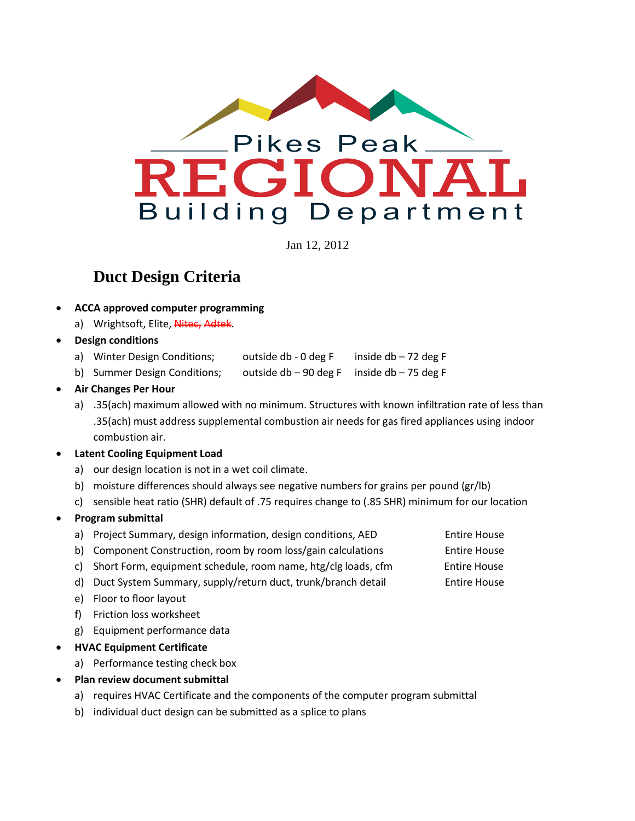

Jan 12, 2012

# **Duct Design Criteria**

- **ACCA approved computer programming** a) Wrightsoft, Elite, Nitec, Adtek.
- **Design conditions**
	- a) Winter Design Conditions; outside db 0 deg F inside db 72 deg F
	- b) Summer Design Conditions; outside db 90 deg F inside db 75 deg F
- **Air Changes Per Hour**
	- a) .35(ach) maximum allowed with no minimum. Structures with known infiltration rate of less than .35(ach) must address supplemental combustion air needs for gas fired appliances using indoor combustion air.
- **Latent Cooling Equipment Load**
	- a) our design location is not in a wet coil climate.
	- b) moisture differences should always see negative numbers for grains per pound (gr/lb)
	- c) sensible heat ratio (SHR) default of .75 requires change to (.85 SHR) minimum for our location

#### **Program submittal**

- a) Project Summary, design information, design conditions, AED Entire House
- b) Component Construction, room by room loss/gain calculations Entire House

c) Short Form, equipment schedule, room name, htg/clg loads, cfm Entire House

- d) Duct System Summary, supply/return duct, trunk/branch detail Entire House
- e) Floor to floor layout
- f) Friction loss worksheet
- g) Equipment performance data
- **HVAC Equipment Certificate**
	- a) Performance testing check box
- **Plan review document submittal**
	- a) requires HVAC Certificate and the components of the computer program submittal
	- b) individual duct design can be submitted as a splice to plans
- 
- 
- -
-